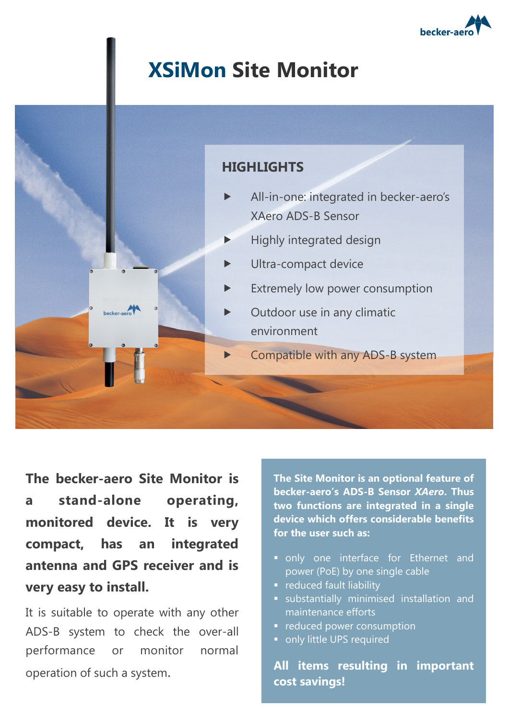

## **XSiMon Site Monitor**



**The becker-aero Site Monitor is a stand-alone operating, monitored device. It is very compact, has an integrated antenna and GPS receiver and is very easy to install.**

It is suitable to operate with any other ADS-B system to check the over-all performance or monitor normal operation of such a system.

**The Site Monitor is an optional feature of becker-aero's ADS-B Sensor** *XAero***. Thus two functions are integrated in a single device which offers considerable benefits for the user such as:**

- only one interface for Ethernet and power (PoE) by one single cable
- **F** reduced fault liability
- substantially minimised installation and maintenance efforts
- **•** reduced power consumption
- only little UPS required

**All items resulting in important cost savings!**